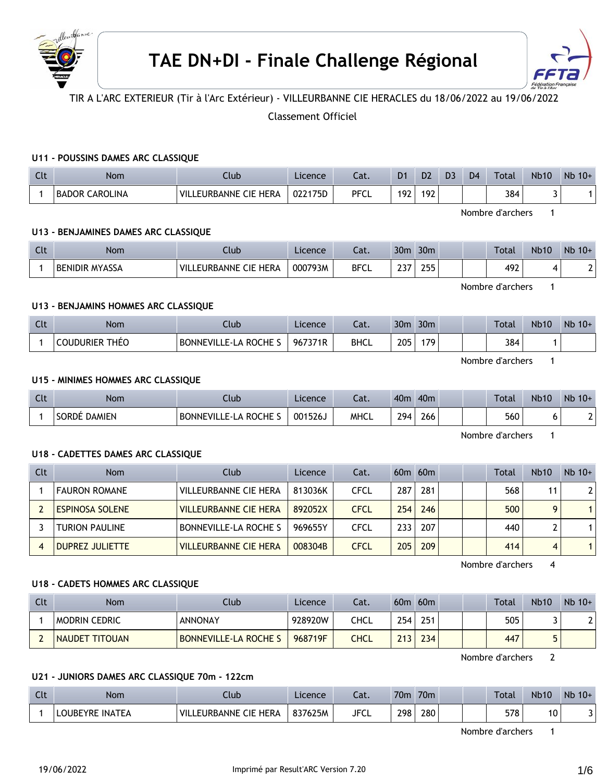



TIR A L'ARC EXTERIEUR (Tir à l'Arc Extérieur) - VILLEURBANNE CIE HERACLES du 18/06/2022 au 19/06/2022

# Classement Officiel

## **U11 - POUSSINS DAMES ARC CLASSIQUE**

| C1<br>. | Nom                             | Ilub                            | Licence | ٦af<br>cal. | D1  | D <sub>2</sub> | D <sub>3</sub> | D <sub>4</sub> | Total | <b>Nb10</b> | <b>N<sub>b</sub></b><br>$10+$ |
|---------|---------------------------------|---------------------------------|---------|-------------|-----|----------------|----------------|----------------|-------|-------------|-------------------------------|
|         | <b>CAROLINA</b><br><b>BADOR</b> | `HERA<br>`VIL∟<br>EURBANNE CIE. | 022175D | <b>PFCL</b> | 192 | 192            |                |                | 384   |             |                               |

Nombre d'archers 1

# **U13 - BENJAMINES DAMES ARC CLASSIQUE**

| $C1+$<br>uu | Nom              | ∿lub.                               | Licence | ົ <u>ດ</u> 1<br>Cal. | 30 <sub>m</sub> | 30 <sub>m</sub> |  | Total | <b>Nb10</b> | Nb<br>$10+$ |
|-------------|------------------|-------------------------------------|---------|----------------------|-----------------|-----------------|--|-------|-------------|-------------|
|             | ' BENIDIR MYASSA | <b>HERA</b><br>VIL<br>EURBANNE CIE. | 000793M | <b>BFCL</b>          | ົ່<br>$\sim$    | つにに<br>ر ر ۱    |  | 492   |             |             |

Nombre d'archers 1

## **U13 - BENJAMINS HOMMES ARC CLASSIQUE**

| Clt | Nom                   | Llub                | Licence | $\sim$<br>cal. | 30 <sub>m</sub> | 30 <sub>m</sub> |  | Total | <b>Nb10</b> | Nb<br>$10+$ |
|-----|-----------------------|---------------------|---------|----------------|-----------------|-----------------|--|-------|-------------|-------------|
|     | <b>COUDURIER THEO</b> | BONNEVILLE-LA ROCHE | 967371R | <b>BHCL</b>    | 205             | 170             |  | 384   |             |             |

Nombre d'archers 1

## **U15 - MINIMES HOMMES ARC CLASSIQUE**

| Clt | <b>Nom</b>   | Jlub                    | Licence | $\sim$<br>cal. | 40 <sub>n</sub> | 40 <sub>m</sub> |  | Total | <b>Nb10</b> | Nb<br>$10+$ |
|-----|--------------|-------------------------|---------|----------------|-----------------|-----------------|--|-------|-------------|-------------|
|     | SORDÉ DAMIEN | 、ROCHE<br>BONNEVILLE-LA | 001526、 | MHCL           | 294             | 266             |  | 560   |             |             |

Nombre d'archers 1

## **U18 - CADETTES DAMES ARC CLASSIQUE**

| Clt | Nom                    | Club                         | Licence | Cat.        |                  | $60m$ $60m$ |  | Total | <b>Nb10</b> | $Nb$ 10+       |
|-----|------------------------|------------------------------|---------|-------------|------------------|-------------|--|-------|-------------|----------------|
|     | <b>FAURON ROMANE</b>   | <b>VILLEURBANNE CIE HERA</b> | 813036K | CFCL        | 287              | 281         |  | 568   | 11          | 2 <sub>1</sub> |
|     | <b>ESPINOSA SOLENE</b> | <b>VILLEURBANNE CIE HERA</b> | 892052X | <b>CFCL</b> | 254              | 246         |  | 500   | Q           |                |
|     | <b>TURION PAULINE</b>  | BONNEVILLE-LA ROCHE S        | 969655Y | CFCL        | 233 <sub>1</sub> | 207         |  | 440   |             |                |
|     | <b>DUPREZ JULIETTE</b> | <b>VILLEURBANNE CIE HERA</b> | 008304B | CFCL        | 205              | 209         |  | 414   | 4           |                |

Nombre d'archers 4

#### **U18 - CADETS HOMMES ARC CLASSIQUE**

| Clt | Nom                   | Club                  | Licence | Cat. | 60 <sub>m</sub> | 60m |  | <b>Total</b> | <b>Nb10</b> | $Nb$ 10+ |
|-----|-----------------------|-----------------------|---------|------|-----------------|-----|--|--------------|-------------|----------|
|     | <b>MODRIN CEDRIC</b>  | ANNONAY               | 928920W | ≏HCL | 254             | 251 |  | 505          |             |          |
|     | <b>NAUDET TITOUAN</b> | BONNEVILLE-LA ROCHE S | 968719F | THCL | 213             | 234 |  | 447          |             |          |

Nombre d'archers 2

### **U21 - JUNIORS DAMES ARC CLASSIQUE 70m - 122cm**

| $\sim$<br><b>CLL</b> | Nom                       | Club                            | Licence | Cat.        | 70 <sub>m</sub> | 70 <sub>m</sub> |  | <b>Total</b> | <b>Nb10</b> | <b>Nb</b><br>$10+$ |
|----------------------|---------------------------|---------------------------------|---------|-------------|-----------------|-----------------|--|--------------|-------------|--------------------|
|                      | <b>INATEA</b><br>LOUBEYRE | THERA<br>' VIL.<br>EURBANNE CIE | 837625M | <b>JFCL</b> | 298             | 280             |  | 578          | 10          |                    |

Nombre d'archers 1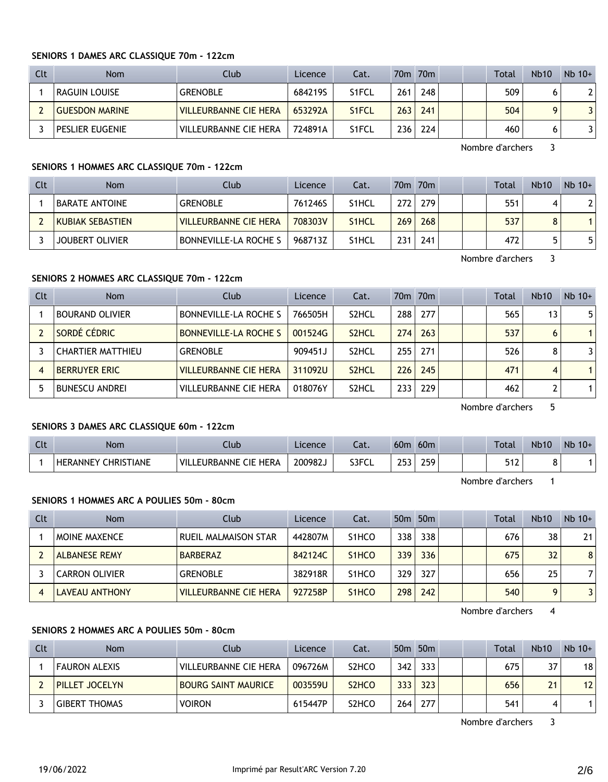| Clt | <b>Nom</b>            | Club                         | Licence | Cat.               |     | 70 <sub>m</sub> 70 <sub>m</sub> |  | Total | <b>Nb10</b> | $Nb$ 10+ |
|-----|-----------------------|------------------------------|---------|--------------------|-----|---------------------------------|--|-------|-------------|----------|
|     | RAGUIN LOUISE         | <b>GRENOBLE</b>              | 684219S | S <sub>1</sub> FCL | 261 | 248                             |  | 509   |             | 21       |
|     | <b>GUESDON MARINE</b> | <b>VILLEURBANNE CIE HERA</b> | 653292A | S <sub>1</sub> FCL | 263 | 241                             |  | 504   | O           |          |
|     | PESLIER EUGENIE       | <b>VILLEURBANNE CIE HERA</b> | 724891A | S <sub>1</sub> FCL | 236 | 224                             |  | 460   |             |          |

Nombre d'archers 3

## **SENIORS 1 HOMMES ARC CLASSIQUE 70m - 122cm**

| Clt | <b>Nom</b>              | Club                         | Licence | Cat.               |     | 70 <sub>m</sub> 70 <sub>m</sub> |  | Total | <b>Nb10</b> | $Nb$ 10+ |
|-----|-------------------------|------------------------------|---------|--------------------|-----|---------------------------------|--|-------|-------------|----------|
|     | <b>BARATE ANTOINE</b>   | <b>GRENOBLE</b>              | 761246S | S <sub>1</sub> HCL | 272 | 279                             |  | 551   |             |          |
|     | <b>KUBIAK SEBASTIEN</b> | <b>VILLEURBANNE CIE HERA</b> | 708303V | S <sub>1</sub> HCL | 269 | 268                             |  | 537   |             |          |
|     | <b>JOUBERT OLIVIER</b>  | ' BONNEVILLE-LA ROCHE S      | 968713Z | S <sub>1</sub> HCL | 231 | 241                             |  | 472   |             |          |

Nombre d'archers 3

#### **SENIORS 2 HOMMES ARC CLASSIQUE 70m - 122cm**

| Clt | <b>Nom</b>               | Club                         | Licence | Cat.               |     | 70 <sub>m</sub> 70 <sub>m</sub> |  | <b>Total</b> | <b>Nb10</b> | $Nb$ 10+ |
|-----|--------------------------|------------------------------|---------|--------------------|-----|---------------------------------|--|--------------|-------------|----------|
|     | <b>BOURAND OLIVIER</b>   | BONNEVILLE-LA ROCHE S        | 766505H | S <sub>2</sub> HCL | 288 | 277                             |  | 565          | 13          | 5        |
|     | SORDÉ CÉDRIC             | <b>BONNEVILLE-LA ROCHE S</b> | 001524G | S <sub>2</sub> HCL | 274 | 263                             |  | 537          | 6           |          |
|     | <b>CHARTIER MATTHIEU</b> | <b>GRENOBLE</b>              | 909451J | S <sub>2</sub> HCL | 255 | 271                             |  | 526          | 8           | 31       |
|     | <b>BERRUYER ERIC</b>     | <b>VILLEURBANNE CIE HERA</b> | 311092U | S <sub>2</sub> HCL | 226 | 245                             |  | 471          | 4           |          |
|     | <b>BUNESCU ANDREI</b>    | <b>VILLEURBANNE CIE HERA</b> | 018076Y | S <sub>2</sub> HCL | 233 | 229                             |  | 462          |             |          |

Nombre d'archers 5

## **SENIORS 3 DAMES ARC CLASSIQUE 60m - 122cm**

| Clt | Nom                             | :lub                         | Licence | Cat.  | 60 <sub>m</sub> | 60 <sub>m</sub> |  | <b>Total</b> | <b>Nb10</b> | $Nb$ 10+ |
|-----|---------------------------------|------------------------------|---------|-------|-----------------|-----------------|--|--------------|-------------|----------|
|     | ' CHRISTIANE<br><b>HERANNEY</b> | LEURBANNE CIE HERA<br>"VILL. | 200982J | S3FCL | 253             | 259             |  | 547<br>ے ا ت | o<br>٥      |          |
|     |                                 |                              |         |       |                 |                 |  |              |             |          |

Nombre d'archers 1

### **SENIORS 1 HOMMES ARC A POULIES 50m - 80cm**

| Clt | <b>Nom</b>            | Club                         | Licence | Cat.               |     | 50 <sub>m</sub> 50 <sub>m</sub> |  | <b>Total</b> | <b>Nb10</b> | $Nb$ 10+ |
|-----|-----------------------|------------------------------|---------|--------------------|-----|---------------------------------|--|--------------|-------------|----------|
|     | <b>MOINE MAXENCE</b>  | RUEIL MALMAISON STAR         | 442807M | S <sub>1</sub> HCO | 338 | 338                             |  | 676          | 38          | 21       |
|     | <b>ALBANESE REMY</b>  | <b>BARBERAZ</b>              | 842124C | S <sub>1</sub> HCO | 339 | 336                             |  | 675          | 32          | 8        |
|     | <b>CARRON OLIVIER</b> | <b>GRENOBLE</b>              | 382918R | S <sub>1</sub> HCO | 329 | 327                             |  | 656          | 25          |          |
|     | LAVEAU ANTHONY        | <b>VILLEURBANNE CIE HERA</b> | 927258P | S <sub>1</sub> HCO | 298 | 242                             |  | 540          | Q           | 3        |

Nombre d'archers 4

## **SENIORS 2 HOMMES ARC A POULIES 50m - 80cm**

| <b>Clt</b> | <b>Nom</b>            | Club                         | Licence | Cat.                           |     | 50 <sub>m</sub> 50 <sub>m</sub> |  | Total | <b>Nb10</b> | $Nb$ 10+ |
|------------|-----------------------|------------------------------|---------|--------------------------------|-----|---------------------------------|--|-------|-------------|----------|
|            | <b>FAURON ALEXIS</b>  | <b>VILLEURBANNE CIE HERA</b> | 096726M | S <sub>2</sub> HCO             | 342 | 333                             |  | 675   | 37          | 18       |
|            | <b>PILLET JOCELYN</b> | <b>BOURG SAINT MAURICE</b>   | 003559U | S <sub>2</sub> HC <sub>O</sub> | 333 | 323                             |  | 656   | 21          | 12       |
|            | <b>GIBERT THOMAS</b>  | <b>VOIRON</b>                | 615447P | S <sub>2</sub> HCO             | 264 | 277                             |  | 541   |             |          |

Nombre d'archers 3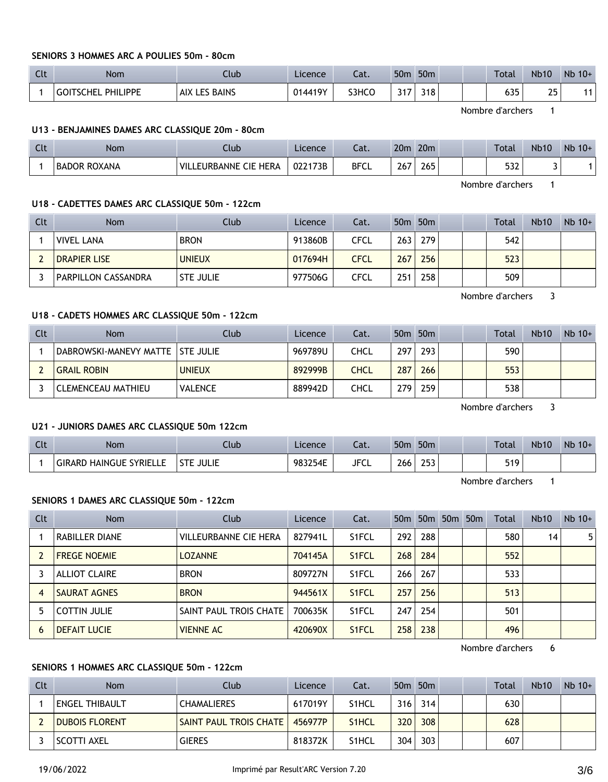## **SENIORS 3 HOMMES ARC A POULIES 50m - 80cm**

| C14<br>๛ | <b>Nom</b>                   | Club                           | Licence | $\sim$<br>cac. | 50 <sub>0</sub>        | 50 <sub>m</sub> |  | Total | <b>Nb10</b> | Nb<br>$10+$ |
|----------|------------------------------|--------------------------------|---------|----------------|------------------------|-----------------|--|-------|-------------|-------------|
|          | PHILIPPE<br><b>GOITSCHEI</b> | <b>BAINS</b><br>. AIX I<br>- - | 014419Y | S3HCO          | $\sim$ $-$<br><u>.</u> | 318             |  | 635   | つに          |             |

Nombre d'archers 1

#### **U13 - BENJAMINES DAMES ARC CLASSIQUE 20m - 80cm**

| $\Gamma$<br><b>CLL</b> | Nom          | Ilub                                        | Licence | <b>P</b><br>cal. | 20 <sub>m</sub> | 20 <sub>m</sub> |  | Total      | <b>Nb10</b> | Nb.<br>$10+$ |
|------------------------|--------------|---------------------------------------------|---------|------------------|-----------------|-----------------|--|------------|-------------|--------------|
|                        | BADOR ROXANA | : CIE HERA<br><b>VIL</b><br><b>EURBANNE</b> | 022173B | <b>BFCL</b>      | 267             | 265             |  | につつ<br>عدد |             |              |

Nombre d'archers 1

#### **U18 - CADETTES DAMES ARC CLASSIQUE 50m - 122cm**

| Clt | <b>Nom</b>                 | Club             | Licence | Cat. |     | 50 <sub>m</sub> 50 <sub>m</sub> |  | <b>Total</b> | <b>Nb10</b> | $Nb$ 10+ |
|-----|----------------------------|------------------|---------|------|-----|---------------------------------|--|--------------|-------------|----------|
|     | <b>VIVEL LANA</b>          | <b>BRON</b>      | 913860B | CFCL | 263 | 279                             |  | 542          |             |          |
|     | <b>DRAPIER LISE</b>        | <b>UNIEUX</b>    | 017694H | CFCL | 267 | 256                             |  | 523          |             |          |
|     | <b>PARPILLON CASSANDRA</b> | <b>STE JULIE</b> | 977506G | CFCL | 251 | 258                             |  | 509          |             |          |

Nombre d'archers 3

## **U18 - CADETS HOMMES ARC CLASSIQUE 50m - 122cm**

| Clt | <b>Nom</b>                         | Club           | Licence | Cat.        |     | 50 <sub>m</sub> 50 <sub>m</sub> |  | Total | <b>Nb10</b> | $Nb$ 10+ |
|-----|------------------------------------|----------------|---------|-------------|-----|---------------------------------|--|-------|-------------|----------|
|     | DABROWSKI-MANEVY MATTE   STE JULIE |                | 969789U | CHCL        | 297 | 293                             |  | 590   |             |          |
|     | <b>GRAIL ROBIN</b>                 | <b>UNIEUX</b>  | 892999B | <b>CHCL</b> | 287 | 266                             |  | 553   |             |          |
|     | CLEMENCEAU MATHIEU                 | <b>VALENCE</b> | 889942D | CHCL        | 279 | 259                             |  | 538   |             |          |

Nombre d'archers 3

## **U21 - JUNIORS DAMES ARC CLASSIQUE 50m 122cm**

| $C1+$<br>นเ | <b>Nom</b>                                      | Club                       | Licence | Cat.        | 50 <sub>m</sub> | 50 <sub>m</sub> |  | <b>Total</b> | <b>Nb10</b> | Nb<br>$10+$ |
|-------------|-------------------------------------------------|----------------------------|---------|-------------|-----------------|-----------------|--|--------------|-------------|-------------|
|             | <b>SYRIELLE</b><br>, HAINGUE '<br><b>GIRARD</b> | <b>JULIE</b><br><b>CTL</b> | 983254E | <b>JFCL</b> | 266<br>$\sim$   | 253             |  | 519          |             |             |

Nombre d'archers 1

#### **SENIORS 1 DAMES ARC CLASSIQUE 50m - 122cm**

| <b>Clt</b> | <b>Nom</b>           | Club                         | Licence | Cat.               | 50 <sub>m</sub> | 50 <sub>m</sub> | 50m 50m | Total | <b>Nb10</b> | $Nb$ 10+ |
|------------|----------------------|------------------------------|---------|--------------------|-----------------|-----------------|---------|-------|-------------|----------|
|            | RABILLER DIANE       | <b>VILLEURBANNE CIE HERA</b> | 827941L | S <sub>1</sub> FCL | 292             | 288             |         | 580   | 14          | 5.       |
|            | <b>FREGE NOEMIE</b>  | <b>LOZANNE</b>               | 704145A | S <sub>1</sub> FCL | 268             | 284             |         | 552   |             |          |
|            | <b>ALLIOT CLAIRE</b> | <b>BRON</b>                  | 809727N | S <sub>1</sub> FCL | 266             | 267             |         | 533   |             |          |
| 4          | SAURAT AGNES         | <b>BRON</b>                  | 944561X | S <sub>1</sub> FCL | 257             | 256             |         | 513   |             |          |
|            | <b>COTTIN JULIE</b>  | SAINT PAUL TROIS CHATE       | 700635K | S <sub>1</sub> FCL | 247             | 254             |         | 501   |             |          |
| 6          | <b>DEFAIT LUCIE</b>  | <b>VIENNE AC</b>             | 420690X | S <sub>1</sub> FCL | 258             | 238             |         | 496   |             |          |

Nombre d'archers 6

### **SENIORS 1 HOMMES ARC CLASSIQUE 50m - 122cm**

| <b>Clt</b> | Nom.                  | Club <sup>1</sup>      | Licence | Cat.               |     | 50 <sub>m</sub> 50 <sub>m</sub> |  | Total | <b>Nb10</b> | $Nb$ 10+ |
|------------|-----------------------|------------------------|---------|--------------------|-----|---------------------------------|--|-------|-------------|----------|
|            | ENGEL THIBAULT        | <b>CHAMALIERES</b>     | 617019Y | S <sub>1</sub> HCL | 316 | 314                             |  | 630   |             |          |
|            | <b>DUBOIS FLORENT</b> | SAINT PAUL TROIS CHATE | 456977P | S <sub>1</sub> HCL | 320 | 308                             |  | 628   |             |          |
|            | SCOTTI AXEL           | <b>GIERES</b>          | 818372K | S <sub>1</sub> HCL | 304 | 303                             |  | 607   |             |          |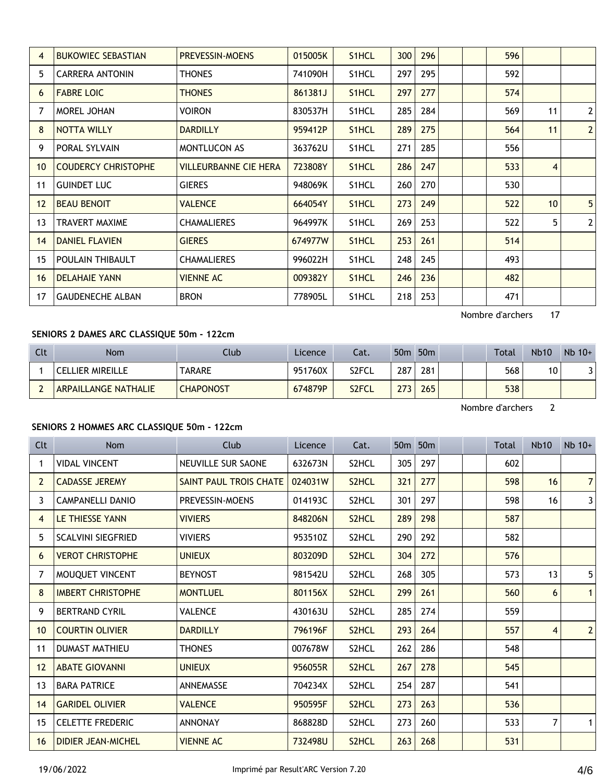| 4               | <b>BUKOWIEC SEBASTIAN</b>  | <b>PREVESSIN-MOENS</b> | 015005K | S1HCL              | 300 | 296 |  | 596 |    |                |
|-----------------|----------------------------|------------------------|---------|--------------------|-----|-----|--|-----|----|----------------|
| 5               | <b>CARRERA ANTONIN</b>     | <b>THONES</b>          | 741090H | S1HCL              | 297 | 295 |  | 592 |    |                |
| 6               | <b>FABRE LOIC</b>          | <b>THONES</b>          | 861381J | S <sub>1</sub> HCL | 297 | 277 |  | 574 |    |                |
| 7               | MOREL JOHAN                | Voiron                 | 830537H | S <sub>1</sub> HCL | 285 | 284 |  | 569 | 11 | $\overline{2}$ |
| 8               | NOTTA WILLY                | <b>DARDILLY</b>        | 959412P | S <sub>1</sub> HCL | 289 | 275 |  | 564 | 11 | $\overline{2}$ |
| 9               | <b>PORAL SYLVAIN</b>       | <b>MONTLUCON AS</b>    | 363762U | S1HCL              | 271 | 285 |  | 556 |    |                |
| 10 <sup>°</sup> | <b>COUDERCY CHRISTOPHE</b> | VILLEURBANNE CIE HERA  | 723808Y | S1HCL              | 286 | 247 |  | 533 | 4  |                |
| 11              | <b>GUINDET LUC</b>         | <b>GIERES</b>          | 948069K | S1HCL              | 260 | 270 |  | 530 |    |                |
| 12              | <b>BEAU BENOIT</b>         | <b>VALENCE</b>         | 664054Y | S <sub>1</sub> HCL | 273 | 249 |  | 522 | 10 | 5              |
| 13              | <b>TRAVERT MAXIME</b>      | <b>CHAMALIERES</b>     | 964997K | S1HCL              | 269 | 253 |  | 522 | 5  | $\overline{2}$ |
| 14              | <b>DANIEL FLAVIEN</b>      | <b>GIERES</b>          | 674977W | S <sub>1</sub> HCL | 253 | 261 |  | 514 |    |                |
| 15              | POULAIN THIBAULT           | <b>CHAMALIERES</b>     | 996022H | S1HCL              | 248 | 245 |  | 493 |    |                |
| 16              | <b>DELAHAIE YANN</b>       | <b>VIENNE AC</b>       | 009382Y | S <sub>1</sub> HCL | 246 | 236 |  | 482 |    |                |
| 17              | <b>GAUDENECHE ALBAN</b>    | <b>BRON</b>            | 778905L | S1HCL              | 218 | 253 |  | 471 |    |                |
|                 |                            |                        |         |                    |     |     |  |     |    |                |

Nombre d'archers 17

# **SENIORS 2 DAMES ARC CLASSIQUE 50m - 122cm**

| Clt | <b>Nom</b>                  | Club             | Licence | Cat.  | 50 <sub>m</sub> | 50 <sub>m</sub> |  | Total | <b>Nb10</b> | $Nb$ 10+ |
|-----|-----------------------------|------------------|---------|-------|-----------------|-----------------|--|-------|-------------|----------|
|     | <b>CELLIER MIREILLE</b>     | <b>TARARE</b>    | 951760X | S2FCL | 287             | 281             |  | 568   | 10          |          |
|     | <b>ARPAILLANGE NATHALIE</b> | <b>CHAPONOST</b> | 674879P | S2FCL | 772             | 265             |  | 538   |             |          |

Nombre d'archers 2

# **SENIORS 2 HOMMES ARC CLASSIQUE 50m - 122cm**

| Clt            | <b>Nom</b>                | Club                      | Licence | Cat.               | 50 <sub>m</sub> | 50 <sub>m</sub> |  | Total | <b>Nb10</b> | $Nb$ 10+       |
|----------------|---------------------------|---------------------------|---------|--------------------|-----------------|-----------------|--|-------|-------------|----------------|
| 1              | <b>VIDAL VINCENT</b>      | <b>NEUVILLE SUR SAONE</b> | 632673N | S2HCL              | 305             | 297             |  | 602   |             |                |
| $\overline{2}$ | <b>CADASSE JEREMY</b>     | SAINT PAUL TROIS CHATE    | 024031W | S2HCL              | 321             | 277             |  | 598   | 16          | 7 <sup>1</sup> |
| 3              | CAMPANELLI DANIO          | <b>PREVESSIN-MOENS</b>    | 014193C | S2HCL              | 301             | 297             |  | 598   | 16          | $\overline{3}$ |
| 4              | <b>LE THIESSE YANN</b>    | <b>VIVIERS</b>            | 848206N | S2HCL              | 289             | 298             |  | 587   |             |                |
| 5              | <b>SCALVINI SIEGFRIED</b> | <b>VIVIERS</b>            | 953510Z | S2HCL              | 290             | 292             |  | 582   |             |                |
| 6              | <b>VEROT CHRISTOPHE</b>   | <b>UNIEUX</b>             | 803209D | S2HCL              | 304             | 272             |  | 576   |             |                |
| $\overline{7}$ | MOUQUET VINCENT           | <b>BEYNOST</b>            | 981542U | S2HCL              | 268             | 305             |  | 573   | 13          | 5              |
| 8              | <b>IMBERT CHRISTOPHE</b>  | <b>MONTLUEL</b>           | 801156X | S <sub>2</sub> HCL | 299             | 261             |  | 560   | 6           | $\mathbf{1}$   |
| 9              | <b>BERTRAND CYRIL</b>     | <b>VALENCE</b>            | 430163U | S2HCL              | 285             | 274             |  | 559   |             |                |
| 10             | <b>COURTIN OLIVIER</b>    | <b>DARDILLY</b>           | 796196F | S2HCL              | 293             | 264             |  | 557   | 4           | $\overline{2}$ |
| 11             | <b>DUMAST MATHIEU</b>     | <b>THONES</b>             | 007678W | S2HCL              | 262             | 286             |  | 548   |             |                |
| 12             | <b>ABATE GIOVANNI</b>     | <b>UNIEUX</b>             | 956055R | S2HCL              | 267             | 278             |  | 545   |             |                |
| 13             | <b>BARA PATRICE</b>       | <b>ANNEMASSE</b>          | 704234X | S2HCL              | 254             | 287             |  | 541   |             |                |
| 14             | <b>GARIDEL OLIVIER</b>    | <b>VALENCE</b>            | 950595F | S <sub>2</sub> HCL | 273             | 263             |  | 536   |             |                |
| 15             | <b>CELETTE FREDERIC</b>   | <b>ANNONAY</b>            | 868828D | S2HCL              | 273             | 260             |  | 533   | 7           |                |
| 16             | <b>DIDIER JEAN-MICHEL</b> | <b>VIENNE AC</b>          | 732498U | S2HCL              | 263             | 268             |  | 531   |             |                |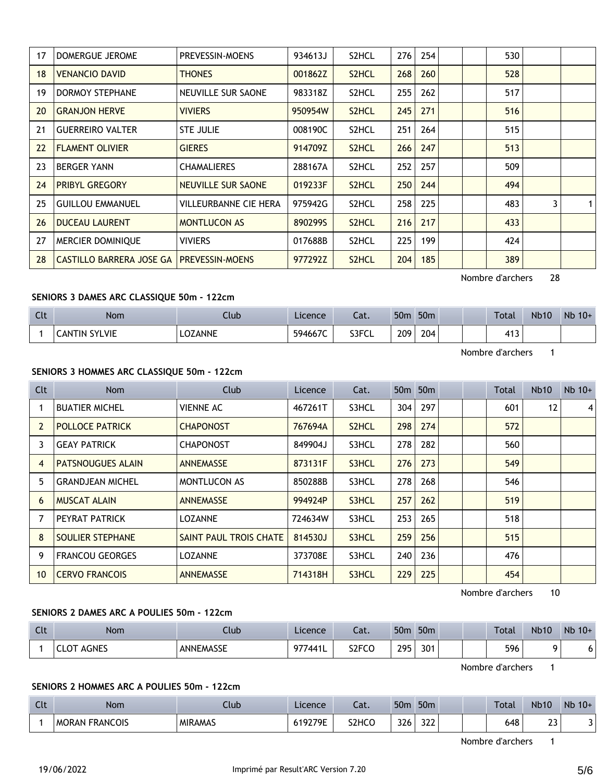| 17 | DOMERGUE JEROME                 | PREVESSIN-MOENS        | 934613J | S2HCL              | 276 | 254 | 530              |    |   |
|----|---------------------------------|------------------------|---------|--------------------|-----|-----|------------------|----|---|
| 18 | <b>VENANCIO DAVID</b>           | <b>THONES</b>          | 001862Z | S2HCL              | 268 | 260 | 528              |    |   |
| 19 | <b>DORMOY STEPHANE</b>          | NEUVILLE SUR SAONE     | 983318Z | S2HCL              | 255 | 262 | 517              |    |   |
| 20 | <b>GRANJON HERVE</b>            | <b>VIVIERS</b>         | 950954W | S <sub>2</sub> HCL | 245 | 271 | 516              |    |   |
| 21 | <b>GUERREIRO VALTER</b>         | <b>STE JULIE</b>       | 008190C | S2HCL              | 251 | 264 | 515              |    |   |
| 22 | <b>FLAMENT OLIVIER</b>          | <b>GIERES</b>          | 914709Z | S2HCL              | 266 | 247 | 513              |    |   |
| 23 | <b>BERGER YANN</b>              | <b>CHAMALIERES</b>     | 288167A | S2HCL              | 252 | 257 | 509              |    |   |
| 24 | <b>PRIBYL GREGORY</b>           | NEUVILLE SUR SAONE     | 019233F | S <sub>2</sub> HCL | 250 | 244 | 494              |    |   |
| 25 | <b>GUILLOU EMMANUEL</b>         | VILLEURBANNE CIE HERA  | 975942G | S2HCL              | 258 | 225 | 483              | 3  | 1 |
| 26 | <b>DUCEAU LAURENT</b>           | <b>MONTLUCON AS</b>    | 8902995 | S <sub>2</sub> HCL | 216 | 217 | 433              |    |   |
| 27 | MERCIER DOMINIQUE               | VIVIERS                | 017688B | S2HCL              | 225 | 199 | 424              |    |   |
| 28 | <b>CASTILLO BARRERA JOSE GA</b> | <b>PREVESSIN-MOENS</b> | 977292Z | S <sub>2</sub> HCL | 204 | 185 | 389              |    |   |
|    |                                 |                        |         |                    |     |     | Nombre d'archers | 28 |   |

## **SENIORS 3 DAMES ARC CLASSIQUE 50m - 122cm**

| C14<br>ւււ | Nom                       | Ilub    | Licence | Lat.  | 50 <sub>m</sub> | 50 <sub>m</sub> |  | <b>Total</b>          | <b>Nb10</b> | Nb 10+ |
|------------|---------------------------|---------|---------|-------|-----------------|-----------------|--|-----------------------|-------------|--------|
|            | <b>SYLVIE</b><br>LANTIN ^ | .OZANNE | 594667C | S3FCL | 209             | 204             |  | $\overline{A}$<br>415 |             |        |

Nombre d'archers 1

## **SENIORS 3 HOMMES ARC CLASSIQUE 50m - 122cm**

| C <sub>It</sub> | Nom                      | Club                   | Licence | Cat.               |     | 50 <sub>m</sub> 50 <sub>m</sub> |  | Total | Nb10 | $Nb$ 10+ |
|-----------------|--------------------------|------------------------|---------|--------------------|-----|---------------------------------|--|-------|------|----------|
|                 | <b>BUATIER MICHEL</b>    | VIENNE AC              | 467261T | S3HCL              | 304 | 297                             |  | 601   | 12   | 4        |
| $\overline{2}$  | <b>POLLOCE PATRICK</b>   | <b>CHAPONOST</b>       | 767694A | S <sub>2</sub> HCL | 298 | 274                             |  | 572   |      |          |
| 3               | <b>GEAY PATRICK</b>      | <b>CHAPONOST</b>       | 849904J | S3HCL              | 278 | 282                             |  | 560   |      |          |
| 4               | <b>PATSNOUGUES ALAIN</b> | <b>ANNEMASSE</b>       | 873131F | S3HCL              | 276 | 273                             |  | 549   |      |          |
| 5               | <b>GRANDJEAN MICHEL</b>  | <b>MONTLUCON AS</b>    | 850288B | S3HCL              | 278 | 268                             |  | 546   |      |          |
| 6               | <b>MUSCAT ALAIN</b>      | <b>ANNEMASSE</b>       | 994924P | S3HCL              | 257 | 262                             |  | 519   |      |          |
| 7               | PEYRAT PATRICK           | <b>LOZANNE</b>         | 724634W | S3HCL              | 253 | 265                             |  | 518   |      |          |
| 8               | <b>SOULIER STEPHANE</b>  | SAINT PAUL TROIS CHATE | 814530J | S3HCL              | 259 | 256                             |  | 515   |      |          |
| 9               | <b>FRANCOU GEORGES</b>   | <b>LOZANNE</b>         | 373708E | S3HCL              | 240 | 236                             |  | 476   |      |          |
| 10              | <b>CERVO FRANCOIS</b>    | <b>ANNEMASSE</b>       | 714318H | S3HCL              | 229 | 225                             |  | 454   |      |          |

Nombre d'archers 10

## **SENIORS 2 DAMES ARC A POULIES 50m - 122cm**

| C1.<br>$-1$ | Nom                  | Jub       | Licence | $\sim$<br>cal.                 | 50 <sub>m</sub>     | 50 <sub>m</sub> | Total | <b>Nb10</b> | Nb 10+ |
|-------------|----------------------|-----------|---------|--------------------------------|---------------------|-----------------|-------|-------------|--------|
|             | <b>AGNES</b><br>CLOT | ANNEMASSE | 977441L | S <sub>2</sub> FC <sub>O</sub> | 295<br>. <i>.</i> . | 301             | 596   | ົ           | ີ      |

Nombre d'archers 1

**SENIORS 2 HOMMES ARC A POULIES 50m - 122cm**

| $\overline{C}$<br>$\sim$ | <b>Nom</b>                      | Club           | Licence | $\sim$<br>cal. | 50 <sub>π</sub> | 50 <sub>m</sub> |  | Total | <b>Nb10</b>         | <b>Nb</b><br>$10+$ |
|--------------------------|---------------------------------|----------------|---------|----------------|-----------------|-----------------|--|-------|---------------------|--------------------|
|                          | <b>FRANCOIS</b><br><b>MORAN</b> | <b>MIRAMAS</b> | 19279E  | S2HCO          | 326             | ררר<br>عدد      |  | 648   | $\sim$<br><b>LJ</b> |                    |

Nombre d'archers 1